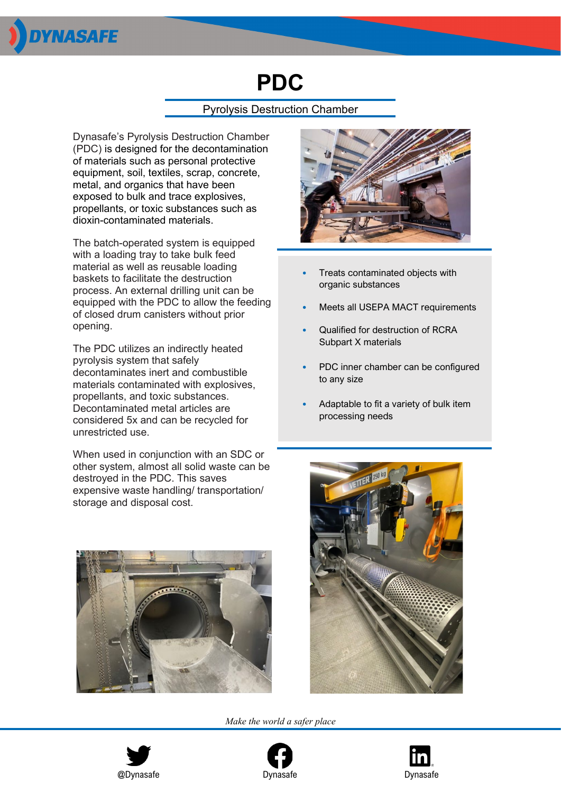

# **PDC**

## Pyrolysis Destruction Chamber

Dynasafe's Pyrolysis Destruction Chamber (PDC) is designed for the decontamination of materials such as personal protective equipment, soil, textiles, scrap, concrete, metal, and organics that have been exposed to bulk and trace explosives, propellants, or toxic substances such as dioxin-contaminated materials.

The batch-operated system is equipped with a loading tray to take bulk feed material as well as reusable loading baskets to facilitate the destruction process. An external drilling unit can be equipped with the PDC to allow the feeding of closed drum canisters without prior opening.

The PDC utilizes an indirectly heated pyrolysis system that safely decontaminates inert and combustible materials contaminated with explosives, propellants, and toxic substances. Decontaminated metal articles are considered 5x and can be recycled for unrestricted use.

When used in conjunction with an SDC or other system, almost all solid waste can be destroyed in the PDC. This saves expensive waste handling/ transportation/ storage and disposal cost.





- Treats contaminated objects with organic substances
- Meets all USEPA MACT requirements
- Qualified for destruction of RCRA Subpart X materials
- PDC inner chamber can be configured to any size
- Adaptable to fit a variety of bulk item processing needs



*Make the world a safer place*